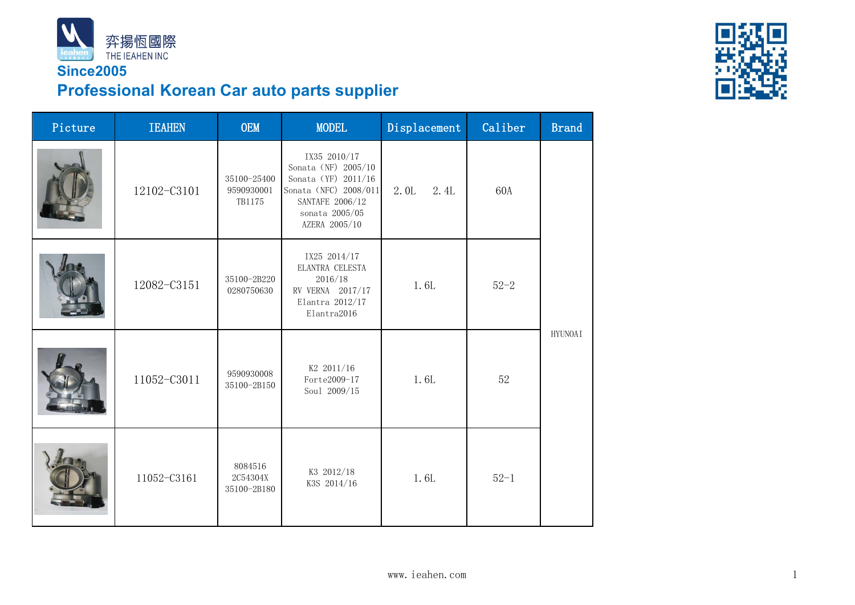

### **Since2005 Professional Korean Car auto parts supplier**



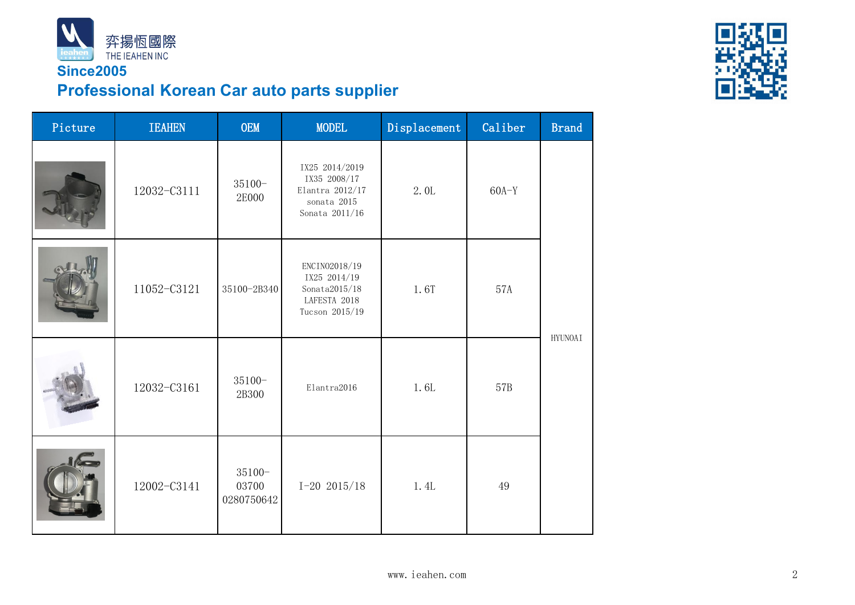

### **Since2005 Professional Korean Car auto parts supplier**



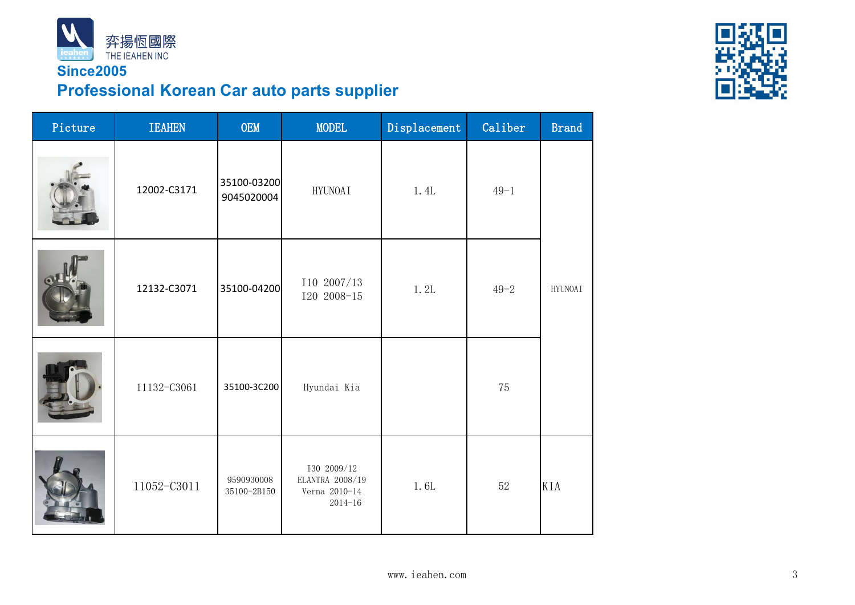

# **Professional Korean Car auto parts supplier**

| Picture | <b>IEAHEN</b> | OEM<br><b>MODEL</b>       |                                                                | Displacement | Caliber  | <b>Brand</b>             |
|---------|---------------|---------------------------|----------------------------------------------------------------|--------------|----------|--------------------------|
|         | 12002-C3171   | 35100-03200<br>9045020004 | HYUNOAI                                                        | 1. 4L        | $49 - 1$ |                          |
|         | 12132-C3071   | 35100-04200               | I10 2007/13<br>$I20 2008 - 15$                                 | 1.2L         | $49 - 2$ | $\operatorname{HYUNOAI}$ |
|         | 11132-C3061   | 35100-3C200               | Hyundai Kia                                                    |              | 75       |                          |
|         | 11052-C3011   | 9590930008<br>35100-2B150 | I30 2009/12<br>ELANTRA 2008/19<br>Verna 2010-14<br>$2014 - 16$ | 1.6L         | $52\,$   | KIA                      |

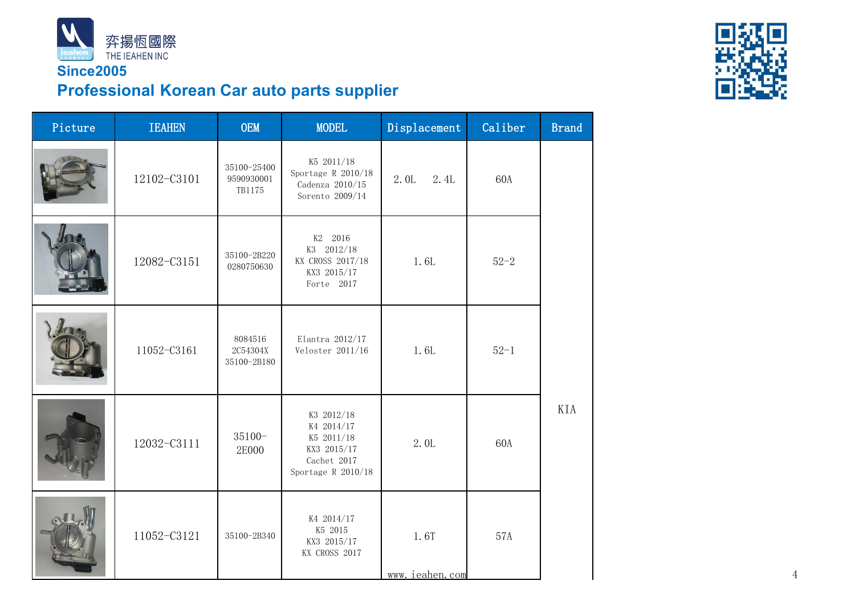

## **Professional Korean Car auto parts supplier**

| Picture | <b>IEAHEN</b> | OEM                                 | <b>MODEL</b>                                                                                 | Displacement           | Caliber  | <b>Brand</b> |
|---------|---------------|-------------------------------------|----------------------------------------------------------------------------------------------|------------------------|----------|--------------|
|         | 12102-C3101   | 35100-25400<br>9590930001<br>TB1175 | K5 2011/18<br>Sportage R $2010/18$<br>Cadenza 2010/15<br>Sorento 2009/14                     | 2.4L<br>2.0L           | 60A      |              |
|         | 12082-C3151   | 35100-2B220<br>0280750630           | K2 2016<br>K3 2012/18<br>KX CROSS 2017/18<br>KX3 2015/17<br>Forte 2017                       | 1.6L                   | $52 - 2$ |              |
|         | 11052-C3161   | 8084516<br>2C54304X<br>35100-2B180  | Elantra $2012/17$<br>Veloster $2011/16$                                                      | 1.6L                   | $52 - 1$ |              |
|         | 12032-C3111   | $35100 -$<br>2E000                  | K3 2012/18<br>K4 2014/17<br>K5 2011/18<br>KX3 2015/17<br>Cachet 2017<br>Sportage R $2010/18$ | 2.0L                   | 60A      | KIA          |
|         | 11052-C3121   | 35100-2B340                         | K4 2014/17<br>K5 2015<br>KX3 2015/17<br>KX CROSS 2017                                        | 1.6T<br>www.ieahen.com | 57A      |              |